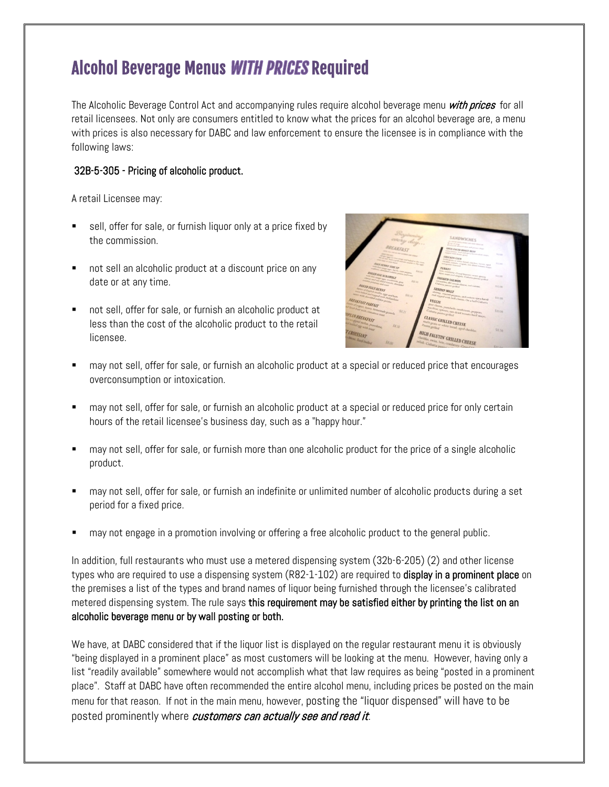## Alcohol Beverage Menus WITH PRICES Required

The Alcoholic Beverage Control Act and accompanying rules require alcohol beverage menu *with prices* for all retail licensees. Not only are consumers entitled to know what the prices for an alcohol beverage are, a menu with prices is also necessary for DABC and law enforcement to ensure the licensee is in compliance with the following laws:

#### 32B-5-305 - Pricing of alcoholic product.

A retail Licensee may:

- sell, offer for sale, or furnish liquor only at a price fixed by the commission.
- not sell an alcoholic product at a discount price on any date or at any time.
- not sell, offer for sale, or furnish an alcoholic product at less than the cost of the alcoholic product to the retail licensee.



- may not sell, offer for sale, or furnish an alcoholic product at a special or reduced price that encourages overconsumption or intoxication.
- may not sell, offer for sale, or furnish an alcoholic product at a special or reduced price for only certain hours of the retail licensee's business day, such as a "happy hour."
- may not sell, offer for sale, or furnish more than one alcoholic product for the price of a single alcoholic product.
- may not sell, offer for sale, or furnish an indefinite or unlimited number of alcoholic products during a set period for a fixed price.
- may not engage in a promotion involving or offering a free alcoholic product to the general public.

In addition, full restaurants who must use a metered dispensing system (32b-6-205) (2) and other license types who are required to use a dispensing system (R82-1-102) are required to **display in a prominent place** on the premises a list of the types and brand names of liquor being furnished through the licensee's calibrated metered dispensing system. The rule says this requirement may be satisfied either by printing the list on an alcoholic beverage menu or by wall posting or both.

We have, at DABC considered that if the liquor list is displayed on the regular restaurant menu it is obviously "being displayed in a prominent place" as most customers will be looking at the menu. However, having only a list "readily available" somewhere would not accomplish what that law requires as being "posted in a prominent place". Staff at DABC have often recommended the entire alcohol menu, including prices be posted on the main menu for that reason. If not in the main menu, however, posting the "liquor dispensed" will have to be posted prominently where customers can actually see and read it.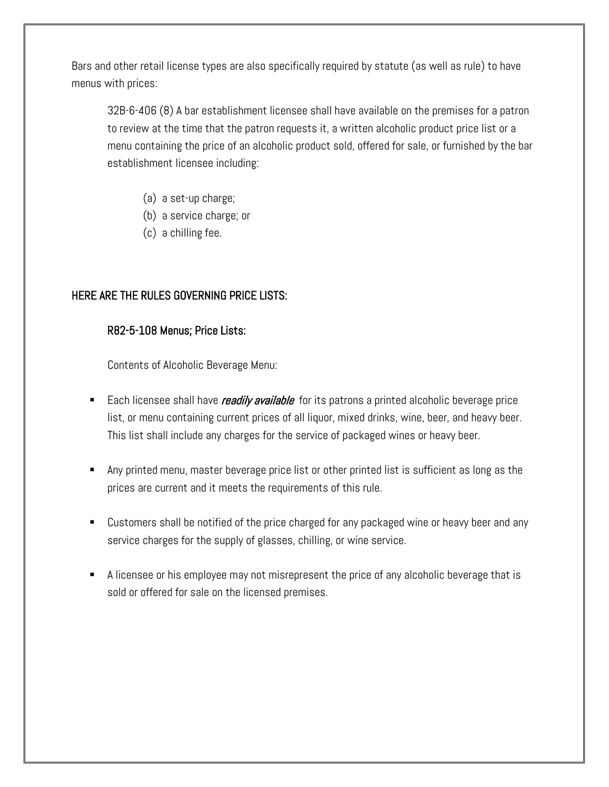Bars and other retail license types are also specifically required by statute (as well as rule) to have menus with prices:

32B-6-406 (8) A bar establishment licensee shall have available on the premises for a patron to review at the time that the patron requests it, a written alcoholic product price list or a menu containing the price of an alcoholic product sold, offered for sale, or furnished by the bar establishment licensee including:

- (a) a set-up charge;
- (b) a service charge; or
- (c) a chilling fee.

### HERE ARE THE RULES GOVERNING PRICE LISTS:

#### R82-5-108 Menus; Price Lists:

Contents of Alcoholic Beverage Menu:

- Each licensee shall have *readily available* for its patrons a printed alcoholic beverage price list, or menu containing current prices of all liquor, mixed drinks, wine, beer, and heavy beer. This list shall include any charges for the service of packaged wines or heavy beer.
- Any printed menu, master beverage price list or other printed list is sufficient as long as the prices are current and it meets the requirements of this rule.
- Customers shall be notified of the price charged for any packaged wine or heavy beer and any service charges for the supply of glasses, chilling, or wine service.
- A licensee or his employee may not misrepresent the price of any alcoholic beverage that is sold or offered for sale on the licensed premises.